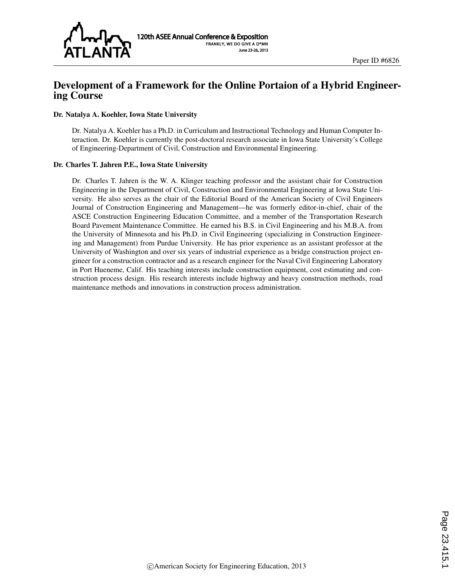

# Development of a Framework for the Online Portaion of a Hybrid Engineering Course

## Dr. Natalya A. Koehler, Iowa State University

Dr. Natalya A. Koehler has a Ph.D. in Curriculum and Instructional Technology and Human Computer Interaction. Dr. Koehler is currently the post-doctoral research associate in Iowa State University's College of Engineering-Department of Civil, Construction and Environmental Engineering.

#### Dr. Charles T. Jahren P.E., Iowa State University

Dr. Charles T. Jahren is the W. A. Klinger teaching professor and the assistant chair for Construction Engineering in the Department of Civil, Construction and Environmental Engineering at Iowa State University. He also serves as the chair of the Editorial Board of the American Society of Civil Engineers Journal of Construction Engineering and Management—he was formerly editor-in-chief, chair of the ASCE Construction Engineering Education Committee, and a member of the Transportation Research Board Pavement Maintenance Committee. He earned his B.S. in Civil Engineering and his M.B.A. from the University of Minnesota and his Ph.D. in Civil Engineering (specializing in Construction Engineering and Management) from Purdue University. He has prior experience as an assistant professor at the University of Washington and over six years of industrial experience as a bridge construction project engineer for a construction contractor and as a research engineer for the Naval Civil Engineering Laboratory in Port Hueneme, Calif. His teaching interests include construction equipment, cost estimating and construction process design. His research interests include highway and heavy construction methods, road maintenance methods and innovations in construction process administration.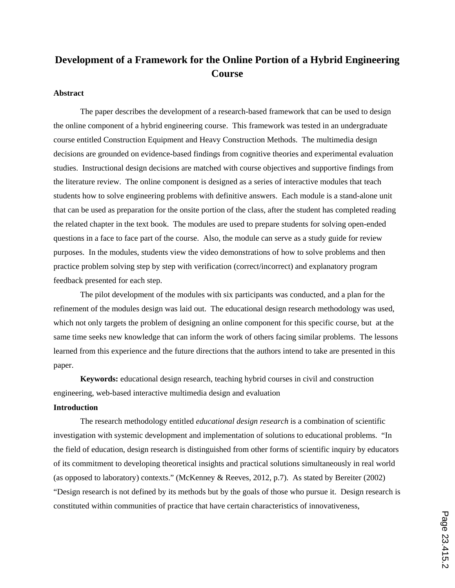# **Development of a Framework for the Online Portion of a Hybrid Engineering Course**

#### **Abstract**

The paper describes the development of a research-based framework that can be used to design the online component of a hybrid engineering course. This framework was tested in an undergraduate course entitled Construction Equipment and Heavy Construction Methods. The multimedia design decisions are grounded on evidence-based findings from cognitive theories and experimental evaluation studies. Instructional design decisions are matched with course objectives and supportive findings from the literature review. The online component is designed as a series of interactive modules that teach students how to solve engineering problems with definitive answers. Each module is a stand-alone unit that can be used as preparation for the onsite portion of the class, after the student has completed reading the related chapter in the text book. The modules are used to prepare students for solving open-ended questions in a face to face part of the course. Also, the module can serve as a study guide for review purposes. In the modules, students view the video demonstrations of how to solve problems and then practice problem solving step by step with verification (correct/incorrect) and explanatory program feedback presented for each step.

The pilot development of the modules with six participants was conducted, and a plan for the refinement of the modules design was laid out. The educational design research methodology was used, which not only targets the problem of designing an online component for this specific course, but at the same time seeks new knowledge that can inform the work of others facing similar problems. The lessons learned from this experience and the future directions that the authors intend to take are presented in this paper.

**Keywords:** educational design research, teaching hybrid courses in civil and construction engineering, web-based interactive multimedia design and evaluation

#### **Introduction**

The research methodology entitled *educational design research* is a combination of scientific investigation with systemic development and implementation of solutions to educational problems. "In the field of education, design research is distinguished from other forms of scientific inquiry by educators of its commitment to developing theoretical insights and practical solutions simultaneously in real world (as opposed to laboratory) contexts." (McKenney & Reeves, 2012, p.7). As stated by Bereiter (2002) "Design research is not defined by its methods but by the goals of those who pursue it. Design research is constituted within communities of practice that have certain characteristics of innovativeness,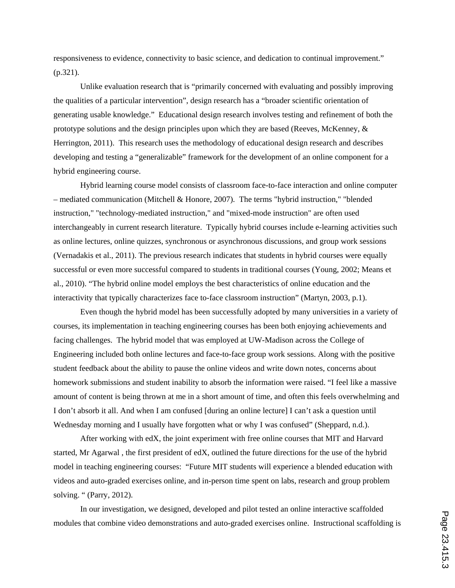responsiveness to evidence, connectivity to basic science, and dedication to continual improvement." (p.321).

Unlike evaluation research that is "primarily concerned with evaluating and possibly improving the qualities of a particular intervention", design research has a "broader scientific orientation of generating usable knowledge." Educational design research involves testing and refinement of both the prototype solutions and the design principles upon which they are based (Reeves, McKenney, & Herrington, 2011). This research uses the methodology of educational design research and describes developing and testing a "generalizable" framework for the development of an online component for a hybrid engineering course.

Hybrid learning course model consists of classroom face-to-face interaction and online computer – mediated communication (Mitchell & Honore, 2007). The terms "hybrid instruction," "blended instruction," "technology-mediated instruction," and "mixed-mode instruction" are often used interchangeably in current research literature. Typically hybrid courses include e-learning activities such as online lectures, online quizzes, synchronous or asynchronous discussions, and group work sessions (Vernadakis et al., 2011). The previous research indicates that students in hybrid courses were equally successful or even more successful compared to students in traditional courses (Young, 2002; Means et al., 2010). "The hybrid online model employs the best characteristics of online education and the interactivity that typically characterizes face to-face classroom instruction" (Martyn, 2003, p.1).

Even though the hybrid model has been successfully adopted by many universities in a variety of courses, its implementation in teaching engineering courses has been both enjoying achievements and facing challenges. The hybrid model that was employed at UW-Madison across the College of Engineering included both online lectures and face-to-face group work sessions. Along with the positive student feedback about the ability to pause the online videos and write down notes, concerns about homework submissions and student inability to absorb the information were raised. "I feel like a massive amount of content is being thrown at me in a short amount of time, and often this feels overwhelming and I don't absorb it all. And when I am confused [during an online lecture] I can't ask a question until Wednesday morning and I usually have forgotten what or why I was confused" (Sheppard, n.d.).

After working with edX, the joint experiment with free online courses that MIT and Harvard started, Mr Agarwal , the first president of edX, outlined the future directions for the use of the hybrid model in teaching engineering courses: "Future MIT students will experience a blended education with videos and auto-graded exercises online, and in-person time spent on labs, research and group problem solving. " (Parry, 2012).

In our investigation, we designed, developed and pilot tested an online interactive scaffolded modules that combine video demonstrations and auto-graded exercises online. Instructional scaffolding is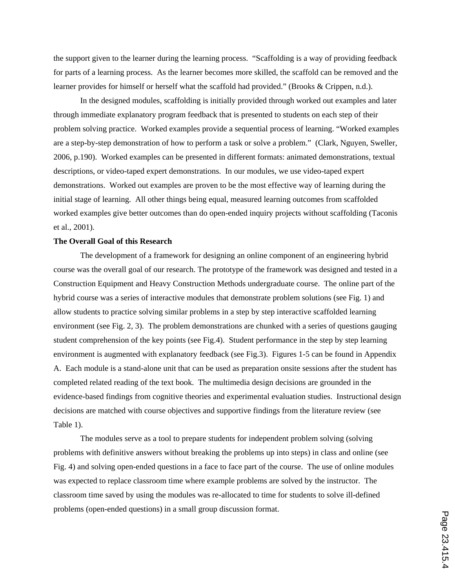the support given to the learner during the learning process. "Scaffolding is a way of providing feedback for parts of a learning process. As the learner becomes more skilled, the scaffold can be removed and the learner provides for himself or herself what the scaffold had provided." (Brooks & Crippen, n.d.).

In the designed modules, scaffolding is initially provided through worked out examples and later through immediate explanatory program feedback that is presented to students on each step of their problem solving practice. Worked examples provide a sequential process of learning. "Worked examples are a step-by-step demonstration of how to perform a task or solve a problem." (Clark, Nguyen, Sweller, 2006, p.190). Worked examples can be presented in different formats: animated demonstrations, textual descriptions, or video-taped expert demonstrations. In our modules, we use video-taped expert demonstrations. Worked out examples are proven to be the most effective way of learning during the initial stage of learning. All other things being equal, measured learning outcomes from scaffolded worked examples give better outcomes than do open-ended inquiry projects without scaffolding (Taconis et al., 2001).

## **The Overall Goal of this Research**

The development of a framework for designing an online component of an engineering hybrid course was the overall goal of our research. The prototype of the framework was designed and tested in a Construction Equipment and Heavy Construction Methods undergraduate course. The online part of the hybrid course was a series of interactive modules that demonstrate problem solutions (see Fig. 1) and allow students to practice solving similar problems in a step by step interactive scaffolded learning environment (see Fig. 2, 3). The problem demonstrations are chunked with a series of questions gauging student comprehension of the key points (see Fig.4). Student performance in the step by step learning environment is augmented with explanatory feedback (see Fig.3). Figures 1-5 can be found in Appendix A. Each module is a stand-alone unit that can be used as preparation onsite sessions after the student has completed related reading of the text book. The multimedia design decisions are grounded in the evidence-based findings from cognitive theories and experimental evaluation studies. Instructional design decisions are matched with course objectives and supportive findings from the literature review (see Table 1).

The modules serve as a tool to prepare students for independent problem solving (solving problems with definitive answers without breaking the problems up into steps) in class and online (see Fig. 4) and solving open-ended questions in a face to face part of the course. The use of online modules was expected to replace classroom time where example problems are solved by the instructor. The classroom time saved by using the modules was re-allocated to time for students to solve ill-defined problems (open-ended questions) in a small group discussion format.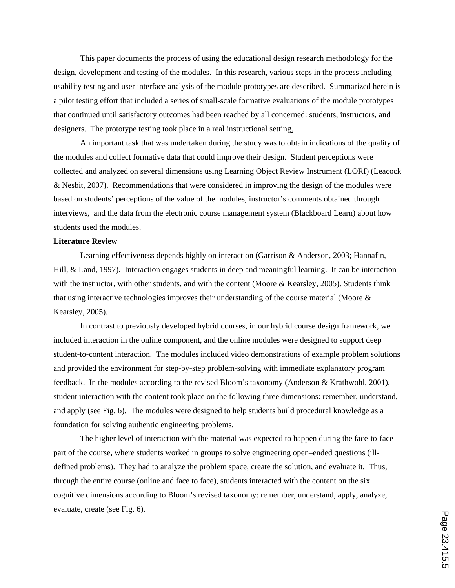This paper documents the process of using the educational design research methodology for the design, development and testing of the modules. In this research, various steps in the process including usability testing and user interface analysis of the module prototypes are described. Summarized herein is a pilot testing effort that included a series of small-scale formative evaluations of the module prototypes that continued until satisfactory outcomes had been reached by all concerned: students, instructors, and designers. The prototype testing took place in a real instructional setting.

An important task that was undertaken during the study was to obtain indications of the quality of the modules and collect formative data that could improve their design. Student perceptions were collected and analyzed on several dimensions using Learning Object Review Instrument (LORI) (Leacock & Nesbit, 2007). Recommendations that were considered in improving the design of the modules were based on students' perceptions of the value of the modules, instructor's comments obtained through interviews, and the data from the electronic course management system (Blackboard Learn) about how students used the modules.

## **Literature Review**

Learning effectiveness depends highly on interaction (Garrison & Anderson, 2003; Hannafin, Hill, & Land, 1997). Interaction engages students in deep and meaningful learning. It can be interaction with the instructor, with other students, and with the content (Moore & Kearsley, 2005). Students think that using interactive technologies improves their understanding of the course material (Moore & Kearsley, 2005).

In contrast to previously developed hybrid courses, in our hybrid course design framework, we included interaction in the online component, and the online modules were designed to support deep student-to-content interaction. The modules included video demonstrations of example problem solutions and provided the environment for step-by-step problem-solving with immediate explanatory program feedback. In the modules according to the revised Bloom's taxonomy (Anderson & Krathwohl, 2001), student interaction with the content took place on the following three dimensions: remember, understand, and apply (see Fig. 6). The modules were designed to help students build procedural knowledge as a foundation for solving authentic engineering problems.

The higher level of interaction with the material was expected to happen during the face-to-face part of the course, where students worked in groups to solve engineering open–ended questions (illdefined problems). They had to analyze the problem space, create the solution, and evaluate it. Thus, through the entire course (online and face to face), students interacted with the content on the six cognitive dimensions according to Bloom's revised taxonomy: remember, understand, apply, analyze, evaluate, create (see Fig. 6).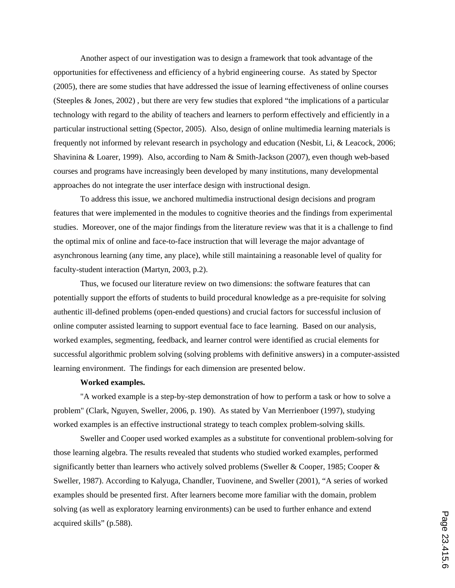Another aspect of our investigation was to design a framework that took advantage of the opportunities for effectiveness and efficiency of a hybrid engineering course. As stated by Spector (2005), there are some studies that have addressed the issue of learning effectiveness of online courses (Steeples & Jones, 2002) , but there are very few studies that explored "the implications of a particular technology with regard to the ability of teachers and learners to perform effectively and efficiently in a particular instructional setting (Spector, 2005). Also, design of online multimedia learning materials is frequently not informed by relevant research in psychology and education (Nesbit, Li, & Leacock, 2006; Shavinina & Loarer, 1999). Also, according to Nam & Smith-Jackson (2007), even though web-based courses and programs have increasingly been developed by many institutions, many developmental approaches do not integrate the user interface design with instructional design.

To address this issue, we anchored multimedia instructional design decisions and program features that were implemented in the modules to cognitive theories and the findings from experimental studies. Moreover, one of the major findings from the literature review was that it is a challenge to find the optimal mix of online and face-to-face instruction that will leverage the major advantage of asynchronous learning (any time, any place), while still maintaining a reasonable level of quality for faculty-student interaction (Martyn, 2003, p.2).

Thus, we focused our literature review on two dimensions: the software features that can potentially support the efforts of students to build procedural knowledge as a pre-requisite for solving authentic ill-defined problems (open-ended questions) and crucial factors for successful inclusion of online computer assisted learning to support eventual face to face learning. Based on our analysis, worked examples, segmenting, feedback, and learner control were identified as crucial elements for successful algorithmic problem solving (solving problems with definitive answers) in a computer-assisted learning environment. The findings for each dimension are presented below.

#### **Worked examples.**

"A worked example is a step-by-step demonstration of how to perform a task or how to solve a problem" (Clark, Nguyen, Sweller, 2006, p. 190). As stated by Van Merrienboer (1997), studying worked examples is an effective instructional strategy to teach complex problem-solving skills.

Sweller and Cooper used worked examples as a substitute for conventional problem-solving for those learning algebra. The results revealed that students who studied worked examples, performed significantly better than learners who actively solved problems (Sweller & Cooper, 1985; Cooper & Sweller, 1987). According to Kalyuga, Chandler, Tuovinene, and Sweller (2001), "A series of worked examples should be presented first. After learners become more familiar with the domain, problem solving (as well as exploratory learning environments) can be used to further enhance and extend acquired skills" (p.588).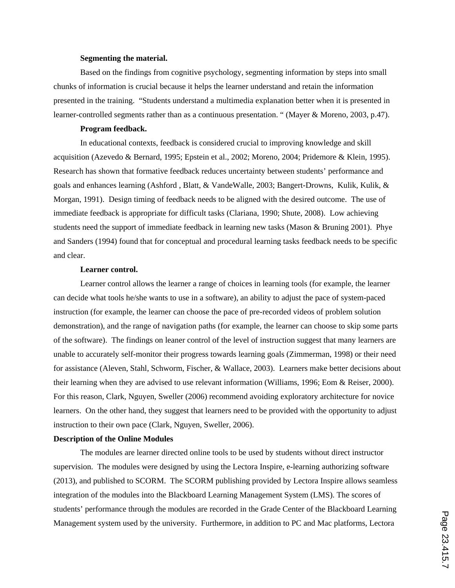#### **Segmenting the material.**

Based on the findings from cognitive psychology, segmenting information by steps into small chunks of information is crucial because it helps the learner understand and retain the information presented in the training. "Students understand a multimedia explanation better when it is presented in learner-controlled segments rather than as a continuous presentation. " (Mayer & Moreno, 2003, p.47).

#### **Program feedback.**

In educational contexts, feedback is considered crucial to improving knowledge and skill acquisition (Azevedo & Bernard, 1995; Epstein et al., 2002; Moreno, 2004; Pridemore & Klein, 1995). Research has shown that formative feedback reduces uncertainty between students' performance and goals and enhances learning (Ashford , Blatt, & VandeWalle, 2003; Bangert-Drowns, Kulik, Kulik, & Morgan, 1991). Design timing of feedback needs to be aligned with the desired outcome. The use of immediate feedback is appropriate for difficult tasks (Clariana, 1990; Shute, 2008). Low achieving students need the support of immediate feedback in learning new tasks (Mason & Bruning 2001). Phye and Sanders (1994) found that for conceptual and procedural learning tasks feedback needs to be specific and clear.

#### **Learner control.**

Learner control allows the learner a range of choices in learning tools (for example, the learner can decide what tools he/she wants to use in a software), an ability to adjust the pace of system-paced instruction (for example, the learner can choose the pace of pre-recorded videos of problem solution demonstration), and the range of navigation paths (for example, the learner can choose to skip some parts of the software). The findings on leaner control of the level of instruction suggest that many learners are unable to accurately self-monitor their progress towards learning goals (Zimmerman, 1998) or their need for assistance (Aleven, Stahl, Schworm, Fischer, & Wallace, 2003). Learners make better decisions about their learning when they are advised to use relevant information (Williams, 1996; Eom & Reiser, 2000). For this reason, Clark, Nguyen, Sweller (2006) recommend avoiding exploratory architecture for novice learners. On the other hand, they suggest that learners need to be provided with the opportunity to adjust instruction to their own pace (Clark, Nguyen, Sweller, 2006).

#### **Description of the Online Modules**

The modules are learner directed online tools to be used by students without direct instructor supervision. The modules were designed by using the Lectora Inspire, e-learning authorizing software (2013), and published to SCORM. The SCORM publishing provided by Lectora Inspire allows seamless integration of the modules into the Blackboard Learning Management System (LMS). The scores of students' performance through the modules are recorded in the Grade Center of the Blackboard Learning Management system used by the university. Furthermore, in addition to PC and Mac platforms, Lectora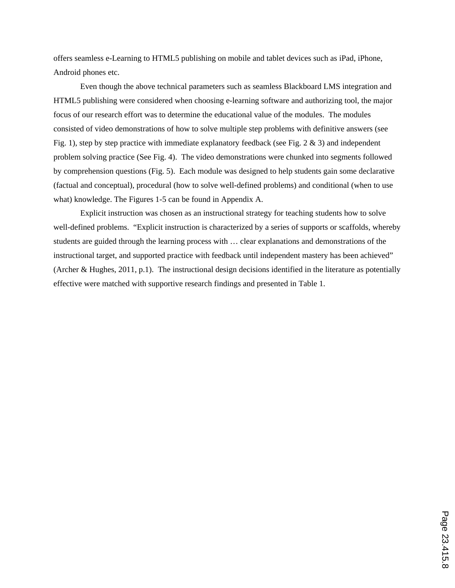offers seamless e-Learning to HTML5 publishing on mobile and tablet devices such as iPad, iPhone, Android phones etc.

Even though the above technical parameters such as seamless Blackboard LMS integration and HTML5 publishing were considered when choosing e-learning software and authorizing tool, the major focus of our research effort was to determine the educational value of the modules. The modules consisted of video demonstrations of how to solve multiple step problems with definitive answers (see Fig. 1), step by step practice with immediate explanatory feedback (see Fig. 2 & 3) and independent problem solving practice (See Fig. 4). The video demonstrations were chunked into segments followed by comprehension questions (Fig. 5). Each module was designed to help students gain some declarative (factual and conceptual), procedural (how to solve well-defined problems) and conditional (when to use what) knowledge. The Figures 1-5 can be found in Appendix A.

Explicit instruction was chosen as an instructional strategy for teaching students how to solve well-defined problems. "Explicit instruction is characterized by a series of supports or scaffolds, whereby students are guided through the learning process with … clear explanations and demonstrations of the instructional target, and supported practice with feedback until independent mastery has been achieved" (Archer & Hughes, 2011, p.1). The instructional design decisions identified in the literature as potentially effective were matched with supportive research findings and presented in Table 1.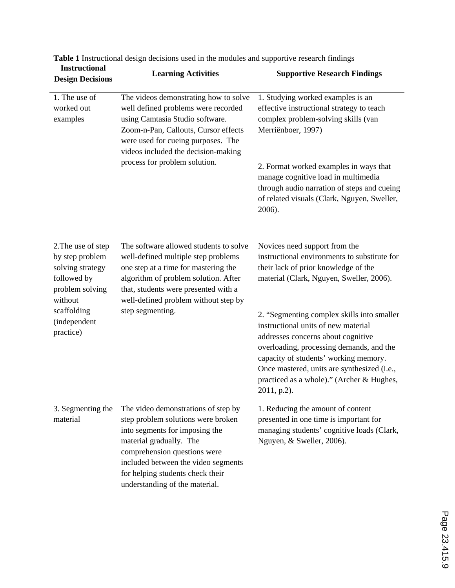| <b>Instructional</b><br><b>Design Decisions</b>                                                        | <b>Learning Activities</b>                                                                                                                                                                                                                                                          | <b>Supportive Research Findings</b>                                                                                                                                                                                                                                                                                     |
|--------------------------------------------------------------------------------------------------------|-------------------------------------------------------------------------------------------------------------------------------------------------------------------------------------------------------------------------------------------------------------------------------------|-------------------------------------------------------------------------------------------------------------------------------------------------------------------------------------------------------------------------------------------------------------------------------------------------------------------------|
| 1. The use of<br>worked out<br>examples                                                                | The videos demonstrating how to solve<br>well defined problems were recorded<br>using Camtasia Studio software.<br>Zoom-n-Pan, Callouts, Cursor effects<br>were used for cueing purposes. The<br>videos included the decision-making<br>process for problem solution.               | 1. Studying worked examples is an<br>effective instructional strategy to teach<br>complex problem-solving skills (van<br>Merriënboer, 1997)<br>2. Format worked examples in ways that<br>manage cognitive load in multimedia<br>through audio narration of steps and cueing                                             |
|                                                                                                        |                                                                                                                                                                                                                                                                                     | of related visuals (Clark, Nguyen, Sweller,<br>2006).                                                                                                                                                                                                                                                                   |
| 2. The use of step<br>by step problem<br>solving strategy<br>followed by<br>problem solving<br>without | The software allowed students to solve<br>well-defined multiple step problems<br>one step at a time for mastering the<br>algorithm of problem solution. After<br>that, students were presented with a<br>well-defined problem without step by                                       | Novices need support from the<br>instructional environments to substitute for<br>their lack of prior knowledge of the<br>material (Clark, Nguyen, Sweller, 2006).                                                                                                                                                       |
| scaffolding<br><i>(independent</i><br>practice)                                                        | step segmenting.                                                                                                                                                                                                                                                                    | 2. "Segmenting complex skills into smaller<br>instructional units of new material<br>addresses concerns about cognitive<br>overloading, processing demands, and the<br>capacity of students' working memory.<br>Once mastered, units are synthesized (i.e.,<br>practiced as a whole)." (Archer & Hughes,<br>2011, p.2). |
| 3. Segmenting the<br>material                                                                          | The video demonstrations of step by<br>step problem solutions were broken<br>into segments for imposing the<br>material gradually. The<br>comprehension questions were<br>included between the video segments<br>for helping students check their<br>understanding of the material. | 1. Reducing the amount of content<br>presented in one time is important for<br>managing students' cognitive loads (Clark,<br>Nguyen, & Sweller, 2006).                                                                                                                                                                  |

# **Table 1** Instructional design decisions used in the modules and supportive research findings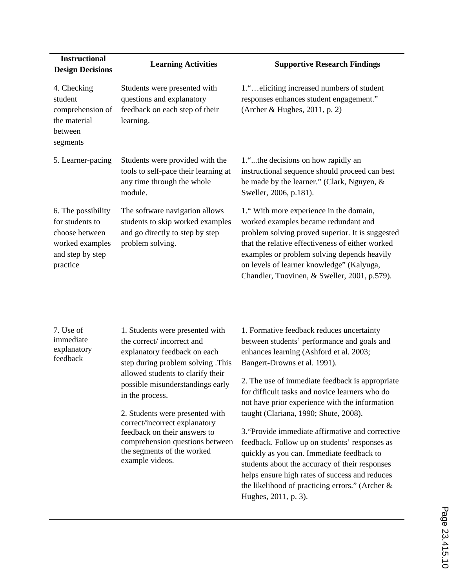| <b>Instructional</b><br><b>Design Decisions</b>                                                            | <b>Learning Activities</b>                                                                                                                                                                                                                                                                                                                                                                                            | <b>Supportive Research Findings</b>                                                                                                                                                                                                                                                                                                                                                                                                                                                                                                                                    |
|------------------------------------------------------------------------------------------------------------|-----------------------------------------------------------------------------------------------------------------------------------------------------------------------------------------------------------------------------------------------------------------------------------------------------------------------------------------------------------------------------------------------------------------------|------------------------------------------------------------------------------------------------------------------------------------------------------------------------------------------------------------------------------------------------------------------------------------------------------------------------------------------------------------------------------------------------------------------------------------------------------------------------------------------------------------------------------------------------------------------------|
| 4. Checking<br>student<br>comprehension of<br>the material<br>between<br>segments                          | Students were presented with<br>questions and explanatory<br>feedback on each step of their<br>learning.                                                                                                                                                                                                                                                                                                              | 1."eliciting increased numbers of student<br>responses enhances student engagement."<br>(Archer & Hughes, 2011, p. 2)                                                                                                                                                                                                                                                                                                                                                                                                                                                  |
| 5. Learner-pacing                                                                                          | Students were provided with the<br>tools to self-pace their learning at<br>any time through the whole<br>module.                                                                                                                                                                                                                                                                                                      | 1. " the decisions on how rapidly an<br>instructional sequence should proceed can best<br>be made by the learner." (Clark, Nguyen, &<br>Sweller, 2006, p.181).                                                                                                                                                                                                                                                                                                                                                                                                         |
| 6. The possibility<br>for students to<br>choose between<br>worked examples<br>and step by step<br>practice | The software navigation allows<br>students to skip worked examples<br>and go directly to step by step<br>problem solving.                                                                                                                                                                                                                                                                                             | 1." With more experience in the domain,<br>worked examples became redundant and<br>problem solving proved superior. It is suggested<br>that the relative effectiveness of either worked<br>examples or problem solving depends heavily<br>on levels of learner knowledge" (Kalyuga,<br>Chandler, Tuovinen, & Sweller, 2001, p.579).                                                                                                                                                                                                                                    |
| 7. Use of<br>immediate<br>explanatory<br>feedback                                                          | 1. Students were presented with<br>the correct/incorrect and<br>explanatory feedback on each<br>step during problem solving .This<br>allowed students to clarify their<br>possible misunderstandings early<br>in the process.<br>2. Students were presented with<br>correct/incorrect explanatory<br>feedback on their answers to<br>comprehension questions between<br>the segments of the worked<br>example videos. | 1. Formative feedback reduces uncertainty<br>between students' performance and goals and<br>enhances learning (Ashford et al. 2003;<br>Bangert-Drowns et al. 1991).<br>2. The use of immediate feedback is appropriate<br>for difficult tasks and novice learners who do<br>not have prior experience with the information<br>taught (Clariana, 1990; Shute, 2008).<br>3. Provide immediate affirmative and corrective<br>feedback. Follow up on students' responses as<br>quickly as you can. Immediate feedback to<br>students about the accuracy of their responses |

helps ensure high rates of success and reduces the likelihood of practicing errors." (Archer &

Hughes, 2011, p. 3).

Page 23.415.10 Page 23.415.10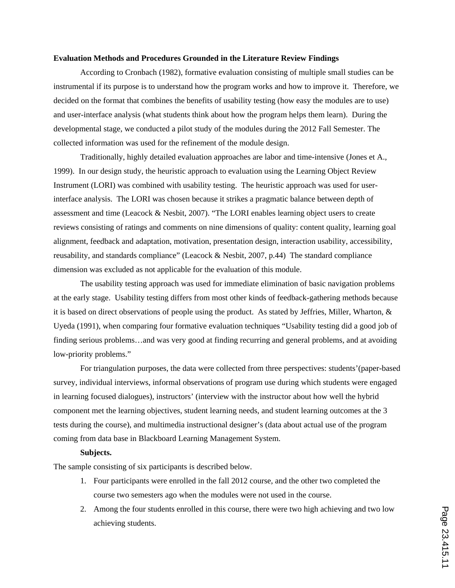#### **Evaluation Methods and Procedures Grounded in the Literature Review Findings**

According to Cronbach (1982), formative evaluation consisting of multiple small studies can be instrumental if its purpose is to understand how the program works and how to improve it. Therefore, we decided on the format that combines the benefits of usability testing (how easy the modules are to use) and user-interface analysis (what students think about how the program helps them learn). During the developmental stage, we conducted a pilot study of the modules during the 2012 Fall Semester. The collected information was used for the refinement of the module design.

Traditionally, highly detailed evaluation approaches are labor and time-intensive (Jones et A., 1999). In our design study, the heuristic approach to evaluation using the Learning Object Review Instrument (LORI) was combined with usability testing. The heuristic approach was used for userinterface analysis. The LORI was chosen because it strikes a pragmatic balance between depth of assessment and time (Leacock & Nesbit, 2007). "The LORI enables learning object users to create reviews consisting of ratings and comments on nine dimensions of quality: content quality, learning goal alignment, feedback and adaptation, motivation, presentation design, interaction usability, accessibility, reusability, and standards compliance" (Leacock & Nesbit, 2007, p.44) The standard compliance dimension was excluded as not applicable for the evaluation of this module.

The usability testing approach was used for immediate elimination of basic navigation problems at the early stage. Usability testing differs from most other kinds of feedback-gathering methods because it is based on direct observations of people using the product. As stated by Jeffries, Miller, Wharton,  $\&$ Uyeda (1991), when comparing four formative evaluation techniques "Usability testing did a good job of finding serious problems…and was very good at finding recurring and general problems, and at avoiding low-priority problems."

For triangulation purposes, the data were collected from three perspectives: students'(paper-based survey, individual interviews, informal observations of program use during which students were engaged in learning focused dialogues), instructors' (interview with the instructor about how well the hybrid component met the learning objectives, student learning needs, and student learning outcomes at the 3 tests during the course), and multimedia instructional designer's (data about actual use of the program coming from data base in Blackboard Learning Management System.

## **Subjects.**

The sample consisting of six participants is described below.

- 1. Four participants were enrolled in the fall 2012 course, and the other two completed the course two semesters ago when the modules were not used in the course.
- 2. Among the four students enrolled in this course, there were two high achieving and two low achieving students.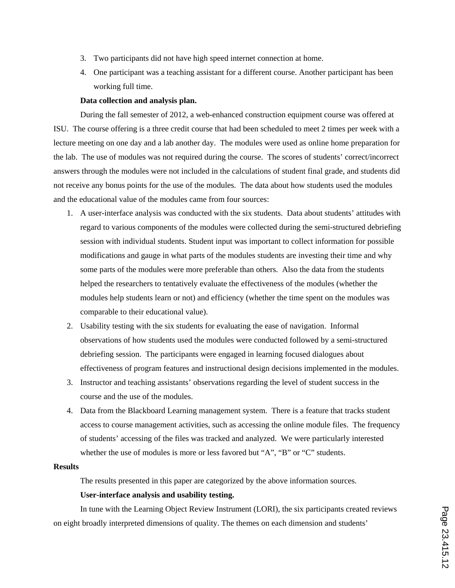- 3. Two participants did not have high speed internet connection at home.
- 4. One participant was a teaching assistant for a different course. Another participant has been working full time.

## **Data collection and analysis plan.**

During the fall semester of 2012, a web-enhanced construction equipment course was offered at ISU. The course offering is a three credit course that had been scheduled to meet 2 times per week with a lecture meeting on one day and a lab another day. The modules were used as online home preparation for the lab. The use of modules was not required during the course. The scores of students' correct/incorrect answers through the modules were not included in the calculations of student final grade, and students did not receive any bonus points for the use of the modules. The data about how students used the modules and the educational value of the modules came from four sources:

- 1. A user-interface analysis was conducted with the six students. Data about students' attitudes with regard to various components of the modules were collected during the semi-structured debriefing session with individual students. Student input was important to collect information for possible modifications and gauge in what parts of the modules students are investing their time and why some parts of the modules were more preferable than others. Also the data from the students helped the researchers to tentatively evaluate the effectiveness of the modules (whether the modules help students learn or not) and efficiency (whether the time spent on the modules was comparable to their educational value).
- 2. Usability testing with the six students for evaluating the ease of navigation. Informal observations of how students used the modules were conducted followed by a semi-structured debriefing session. The participants were engaged in learning focused dialogues about effectiveness of program features and instructional design decisions implemented in the modules.
- 3. Instructor and teaching assistants' observations regarding the level of student success in the course and the use of the modules.
- 4. Data from the Blackboard Learning management system. There is a feature that tracks student access to course management activities, such as accessing the online module files. The frequency of students' accessing of the files was tracked and analyzed. We were particularly interested whether the use of modules is more or less favored but "A", "B" or "C" students.

## **Results**

The results presented in this paper are categorized by the above information sources.

## **User-interface analysis and usability testing.**

In tune with the Learning Object Review Instrument (LORI), the six participants created reviews on eight broadly interpreted dimensions of quality. The themes on each dimension and students'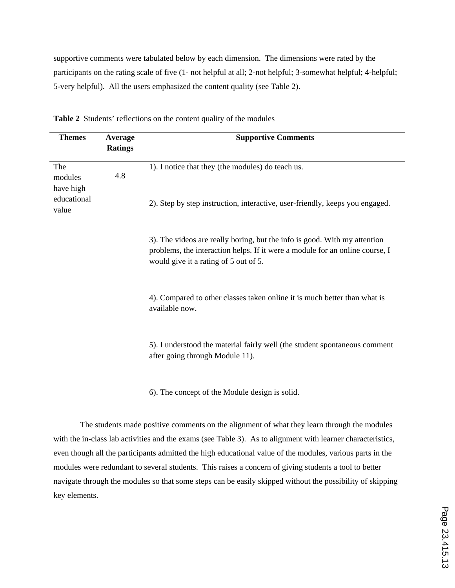supportive comments were tabulated below by each dimension. The dimensions were rated by the participants on the rating scale of five (1- not helpful at all; 2-not helpful; 3-somewhat helpful; 4-helpful; 5-very helpful). All the users emphasized the content quality (see Table 2).

| <b>Themes</b>               | Average<br><b>Ratings</b> | <b>Supportive Comments</b>                                                                                                                                                                         |
|-----------------------------|---------------------------|----------------------------------------------------------------------------------------------------------------------------------------------------------------------------------------------------|
| The<br>modules<br>have high | 4.8                       | 1). I notice that they (the modules) do teach us.                                                                                                                                                  |
| educational<br>value        |                           | 2). Step by step instruction, interactive, user-friendly, keeps you engaged.                                                                                                                       |
|                             |                           | 3). The videos are really boring, but the info is good. With my attention<br>problems, the interaction helps. If it were a module for an online course, I<br>would give it a rating of 5 out of 5. |
|                             |                           | 4). Compared to other classes taken online it is much better than what is<br>available now.                                                                                                        |
|                             |                           | 5). I understood the material fairly well (the student spontaneous comment<br>after going through Module 11).                                                                                      |
|                             |                           | 6). The concept of the Module design is solid.                                                                                                                                                     |

**Table 2** Students' reflections on the content quality of the modules

The students made positive comments on the alignment of what they learn through the modules with the in-class lab activities and the exams (see Table 3). As to alignment with learner characteristics, even though all the participants admitted the high educational value of the modules, various parts in the modules were redundant to several students. This raises a concern of giving students a tool to better navigate through the modules so that some steps can be easily skipped without the possibility of skipping key elements.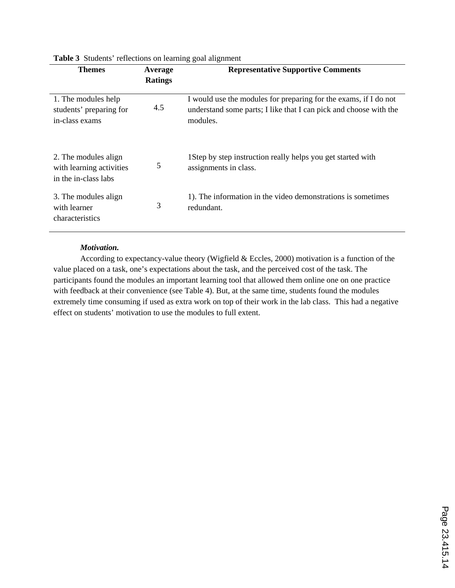| <b>Themes</b>                                                            | Average<br><b>Ratings</b> | <b>Representative Supportive Comments</b>                                                                                                         |
|--------------------------------------------------------------------------|---------------------------|---------------------------------------------------------------------------------------------------------------------------------------------------|
| 1. The modules help<br>students' preparing for<br>in-class exams         | 4.5                       | I would use the modules for preparing for the exams, if I do not<br>understand some parts; I like that I can pick and choose with the<br>modules. |
| 2. The modules align<br>with learning activities<br>in the in-class labs | 5                         | 1 Step by step instruction really helps you get started with<br>assignments in class.                                                             |
| 3. The modules align<br>with learner<br>characteristics                  | 3                         | 1). The information in the video demonstrations is sometimes<br>redundant.                                                                        |

## **Table 3** Students' reflections on learning goal alignment

# *Motivation.*

According to expectancy-value theory (Wigfield & Eccles, 2000) motivation is a function of the value placed on a task, one's expectations about the task, and the perceived cost of the task. The participants found the modules an important learning tool that allowed them online one on one practice with feedback at their convenience (see Table 4). But, at the same time, students found the modules extremely time consuming if used as extra work on top of their work in the lab class. This had a negative effect on students' motivation to use the modules to full extent.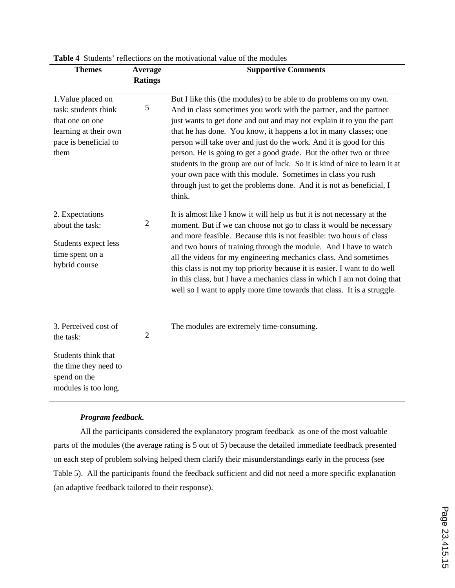| <b>Themes</b>                                                                                                          | Average<br><b>Ratings</b> | <b>Supportive Comments</b>                                                                                                                                                                                                                                                                                                                                                                                                                                                                                                                                                                                                                                           |
|------------------------------------------------------------------------------------------------------------------------|---------------------------|----------------------------------------------------------------------------------------------------------------------------------------------------------------------------------------------------------------------------------------------------------------------------------------------------------------------------------------------------------------------------------------------------------------------------------------------------------------------------------------------------------------------------------------------------------------------------------------------------------------------------------------------------------------------|
| 1.Value placed on<br>task: students think<br>that one on one<br>learning at their own<br>pace is beneficial to<br>them | $\mathfrak s$             | But I like this (the modules) to be able to do problems on my own.<br>And in class sometimes you work with the partner, and the partner<br>just wants to get done and out and may not explain it to you the part<br>that he has done. You know, it happens a lot in many classes; one<br>person will take over and just do the work. And it is good for this<br>person. He is going to get a good grade. But the other two or three<br>students in the group are out of luck. So it is kind of nice to learn it at<br>your own pace with this module. Sometimes in class you rush<br>through just to get the problems done. And it is not as beneficial, I<br>think. |
| 2. Expectations<br>about the task:<br>Students expect less<br>time spent on a<br>hybrid course                         | $\mathbf 2$               | It is almost like I know it will help us but it is not necessary at the<br>moment. But if we can choose not go to class it would be necessary<br>and more feasible. Because this is not feasible: two hours of class<br>and two hours of training through the module. And I have to watch<br>all the videos for my engineering mechanics class. And sometimes<br>this class is not my top priority because it is easier. I want to do well<br>in this class, but I have a mechanics class in which I am not doing that<br>well so I want to apply more time towards that class. It is a struggle.                                                                    |
| 3. Perceived cost of<br>the task:                                                                                      | $\overline{2}$            | The modules are extremely time-consuming.                                                                                                                                                                                                                                                                                                                                                                                                                                                                                                                                                                                                                            |
| Students think that<br>the time they need to<br>spend on the<br>modules is too long.                                   |                           |                                                                                                                                                                                                                                                                                                                                                                                                                                                                                                                                                                                                                                                                      |

**Table 4** Students' reflections on the motivational value of the modules

# *Program feedback.*

All the participants considered the explanatory program feedback as one of the most valuable parts of the modules (the average rating is 5 out of 5) because the detailed immediate feedback presented on each step of problem solving helped them clarify their misunderstandings early in the process (see Table 5). All the participants found the feedback sufficient and did not need a more specific explanation (an adaptive feedback tailored to their response).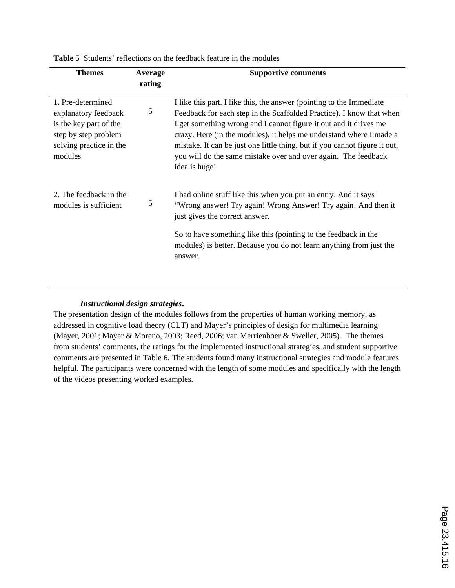| <b>Themes</b>                                                                                                                     | Average<br>rating | <b>Supportive comments</b>                                                                                                                                                                                                                                                                                                                                                                                                                                |
|-----------------------------------------------------------------------------------------------------------------------------------|-------------------|-----------------------------------------------------------------------------------------------------------------------------------------------------------------------------------------------------------------------------------------------------------------------------------------------------------------------------------------------------------------------------------------------------------------------------------------------------------|
| 1. Pre-determined<br>explanatory feedback<br>is the key part of the<br>step by step problem<br>solving practice in the<br>modules | 5                 | I like this part. I like this, the answer (pointing to the Immediate<br>Feedback for each step in the Scaffolded Practice). I know that when<br>I get something wrong and I cannot figure it out and it drives me<br>crazy. Here (in the modules), it helps me understand where I made a<br>mistake. It can be just one little thing, but if you cannot figure it out,<br>you will do the same mistake over and over again. The feedback<br>idea is huge! |
| 2. The feedback in the<br>modules is sufficient                                                                                   | 5                 | I had online stuff like this when you put an entry. And it says<br>"Wrong answer! Try again! Wrong Answer! Try again! And then it<br>just gives the correct answer.<br>So to have something like this (pointing to the feedback in the<br>modules) is better. Because you do not learn anything from just the<br>answer.                                                                                                                                  |

**Table 5** Students' reflections on the feedback feature in the modules

# *Instructional design strategies***.**

The presentation design of the modules follows from the properties of human working memory, as addressed in cognitive load theory (CLT) and Mayer's principles of design for multimedia learning (Mayer, 2001; Mayer & Moreno, 2003; Reed, 2006; van Merrienboer & Sweller, 2005). The themes from students' comments, the ratings for the implemented instructional strategies, and student supportive comments are presented in Table 6. The students found many instructional strategies and module features helpful. The participants were concerned with the length of some modules and specifically with the length of the videos presenting worked examples.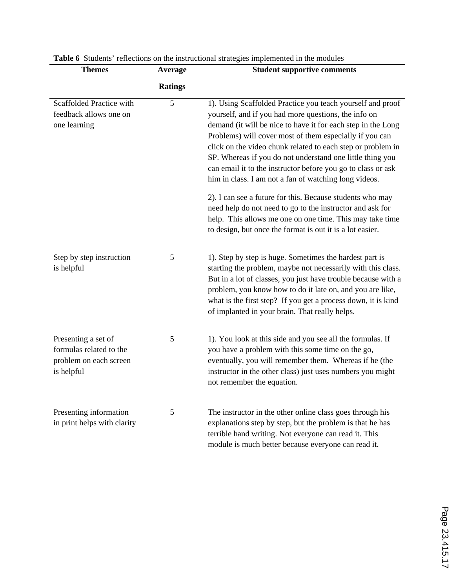| <b>Themes</b>                                                                          | Average        | <b>Student supportive comments</b>                                                                                                                                                                                                                                                                                                                                                                                                                                                                 |
|----------------------------------------------------------------------------------------|----------------|----------------------------------------------------------------------------------------------------------------------------------------------------------------------------------------------------------------------------------------------------------------------------------------------------------------------------------------------------------------------------------------------------------------------------------------------------------------------------------------------------|
|                                                                                        | <b>Ratings</b> |                                                                                                                                                                                                                                                                                                                                                                                                                                                                                                    |
| Scaffolded Practice with<br>feedback allows one on<br>one learning                     | 5              | 1). Using Scaffolded Practice you teach yourself and proof<br>yourself, and if you had more questions, the info on<br>demand (it will be nice to have it for each step in the Long<br>Problems) will cover most of them especially if you can<br>click on the video chunk related to each step or problem in<br>SP. Whereas if you do not understand one little thing you<br>can email it to the instructor before you go to class or ask<br>him in class. I am not a fan of watching long videos. |
|                                                                                        |                | 2). I can see a future for this. Because students who may<br>need help do not need to go to the instructor and ask for<br>help. This allows me one on one time. This may take time<br>to design, but once the format is out it is a lot easier.                                                                                                                                                                                                                                                    |
| Step by step instruction<br>is helpful                                                 | 5              | 1). Step by step is huge. Sometimes the hardest part is<br>starting the problem, maybe not necessarily with this class.<br>But in a lot of classes, you just have trouble because with a<br>problem, you know how to do it late on, and you are like,<br>what is the first step? If you get a process down, it is kind<br>of implanted in your brain. That really helps.                                                                                                                           |
| Presenting a set of<br>formulas related to the<br>problem on each screen<br>is helpful | 5              | 1). You look at this side and you see all the formulas. If<br>you have a problem with this some time on the go,<br>eventually, you will remember them. Whereas if he (the<br>instructor in the other class) just uses numbers you might<br>not remember the equation.                                                                                                                                                                                                                              |
| Presenting information<br>in print helps with clarity                                  | 5              | The instructor in the other online class goes through his<br>explanations step by step, but the problem is that he has<br>terrible hand writing. Not everyone can read it. This<br>module is much better because everyone can read it.                                                                                                                                                                                                                                                             |

**Table 6** Students' reflections on the instructional strategies implemented in the modules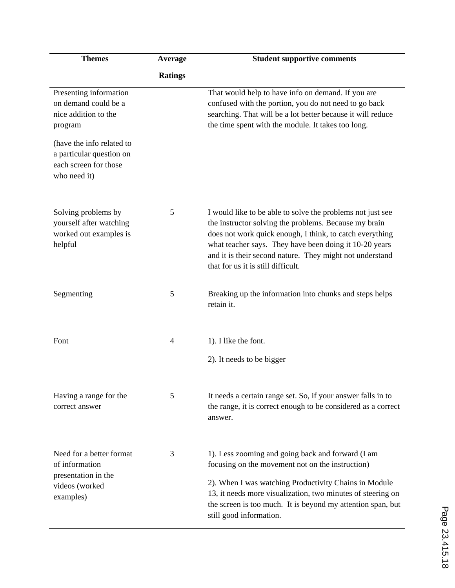| <b>Themes</b>                                                                                                  | Average        | <b>Student supportive comments</b>                                                                                                                                                                                                                                                                                                          |
|----------------------------------------------------------------------------------------------------------------|----------------|---------------------------------------------------------------------------------------------------------------------------------------------------------------------------------------------------------------------------------------------------------------------------------------------------------------------------------------------|
|                                                                                                                | <b>Ratings</b> |                                                                                                                                                                                                                                                                                                                                             |
| Presenting information<br>on demand could be a<br>nice addition to the<br>program<br>(have the info related to |                | That would help to have info on demand. If you are<br>confused with the portion, you do not need to go back<br>searching. That will be a lot better because it will reduce<br>the time spent with the module. It takes too long.                                                                                                            |
| a particular question on<br>each screen for those<br>who need it)                                              |                |                                                                                                                                                                                                                                                                                                                                             |
| Solving problems by<br>yourself after watching<br>worked out examples is<br>helpful                            | 5              | I would like to be able to solve the problems not just see<br>the instructor solving the problems. Because my brain<br>does not work quick enough, I think, to catch everything<br>what teacher says. They have been doing it 10-20 years<br>and it is their second nature. They might not understand<br>that for us it is still difficult. |
| Segmenting                                                                                                     | 5              | Breaking up the information into chunks and steps helps<br>retain it.                                                                                                                                                                                                                                                                       |
| Font                                                                                                           | 4              | 1). I like the font.                                                                                                                                                                                                                                                                                                                        |
|                                                                                                                |                | 2). It needs to be bigger                                                                                                                                                                                                                                                                                                                   |
| Having a range for the<br>correct answer                                                                       | 5              | It needs a certain range set. So, if your answer falls in to<br>the range, it is correct enough to be considered as a correct<br>answer.                                                                                                                                                                                                    |
| Need for a better format<br>of information<br>presentation in the                                              | 3              | 1). Less zooming and going back and forward (I am<br>focusing on the movement not on the instruction)                                                                                                                                                                                                                                       |
| videos (worked<br>examples)                                                                                    |                | 2). When I was watching Productivity Chains in Module<br>13, it needs more visualization, two minutes of steering on<br>the screen is too much. It is beyond my attention span, but<br>still good information.                                                                                                                              |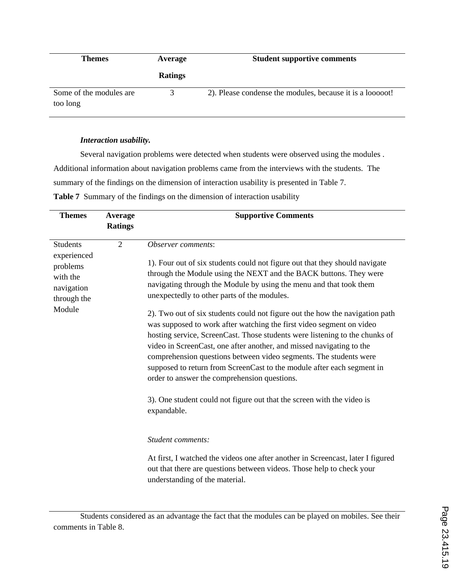| <b>Themes</b>                        | Average        | <b>Student supportive comments</b>                        |
|--------------------------------------|----------------|-----------------------------------------------------------|
|                                      | <b>Ratings</b> |                                                           |
| Some of the modules are.<br>too long |                | 2). Please condense the modules, because it is a looooot! |

# *Interaction usability.*

Several navigation problems were detected when students were observed using the modules . Additional information about navigation problems came from the interviews with the students. The summary of the findings on the dimension of interaction usability is presented in Table 7. **Table 7** Summary of the findings on the dimension of interaction usability

| <b>Themes</b>                                                                                 | Average<br><b>Ratings</b> | <b>Supportive Comments</b>                                                                                                                                                                                                                                                                                                                                                                                                                                                                                                                                                                                                                                                                                                                                                                                                                                                                         |
|-----------------------------------------------------------------------------------------------|---------------------------|----------------------------------------------------------------------------------------------------------------------------------------------------------------------------------------------------------------------------------------------------------------------------------------------------------------------------------------------------------------------------------------------------------------------------------------------------------------------------------------------------------------------------------------------------------------------------------------------------------------------------------------------------------------------------------------------------------------------------------------------------------------------------------------------------------------------------------------------------------------------------------------------------|
| <b>Students</b><br>experienced<br>problems<br>with the<br>navigation<br>through the<br>Module | $\overline{2}$            | Observer comments:<br>1). Four out of six students could not figure out that they should navigate<br>through the Module using the NEXT and the BACK buttons. They were<br>navigating through the Module by using the menu and that took them<br>unexpectedly to other parts of the modules.<br>2). Two out of six students could not figure out the how the navigation path<br>was supposed to work after watching the first video segment on video<br>hosting service, ScreenCast. Those students were listening to the chunks of<br>video in ScreenCast, one after another, and missed navigating to the<br>comprehension questions between video segments. The students were<br>supposed to return from ScreenCast to the module after each segment in<br>order to answer the comprehension questions.<br>3). One student could not figure out that the screen with the video is<br>expandable. |
|                                                                                               |                           | Student comments:<br>At first, I watched the videos one after another in Screencast, later I figured<br>out that there are questions between videos. Those help to check your<br>understanding of the material.                                                                                                                                                                                                                                                                                                                                                                                                                                                                                                                                                                                                                                                                                    |

Students considered as an advantage the fact that the modules can be played on mobiles. See their comments in Table 8.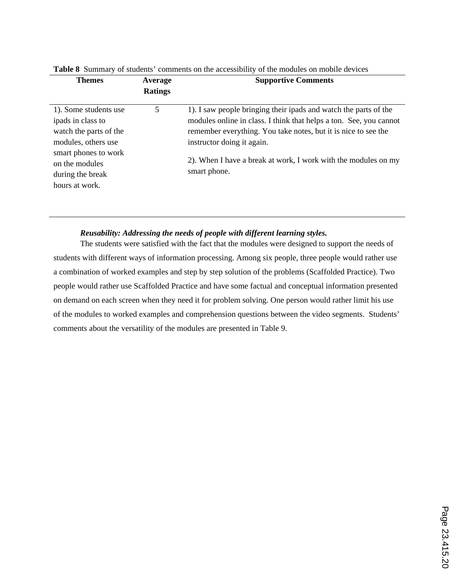| <b>Themes</b>                                                                                                                         | Average<br><b>Ratings</b> | <b>Supportive Comments</b>                                                                                                                                                                                                                                                                               |
|---------------------------------------------------------------------------------------------------------------------------------------|---------------------------|----------------------------------------------------------------------------------------------------------------------------------------------------------------------------------------------------------------------------------------------------------------------------------------------------------|
|                                                                                                                                       |                           |                                                                                                                                                                                                                                                                                                          |
| 1). Some students use<br>ipads in class to<br>watch the parts of the<br>modules, others use<br>smart phones to work<br>on the modules | 5                         | 1). I saw people bringing their ipads and watch the parts of the<br>modules online in class. I think that helps a ton. See, you cannot<br>remember everything. You take notes, but it is nice to see the<br>instructor doing it again.<br>2). When I have a break at work, I work with the modules on my |
| during the break<br>hours at work.                                                                                                    |                           | smart phone.                                                                                                                                                                                                                                                                                             |

**Table 8** Summary of students' comments on the accessibility of the modules on mobile devices

# *Reusability: Addressing the needs of people with different learning styles.*

The students were satisfied with the fact that the modules were designed to support the needs of students with different ways of information processing. Among six people, three people would rather use a combination of worked examples and step by step solution of the problems (Scaffolded Practice). Two people would rather use Scaffolded Practice and have some factual and conceptual information presented on demand on each screen when they need it for problem solving. One person would rather limit his use of the modules to worked examples and comprehension questions between the video segments. Students' comments about the versatility of the modules are presented in Table 9.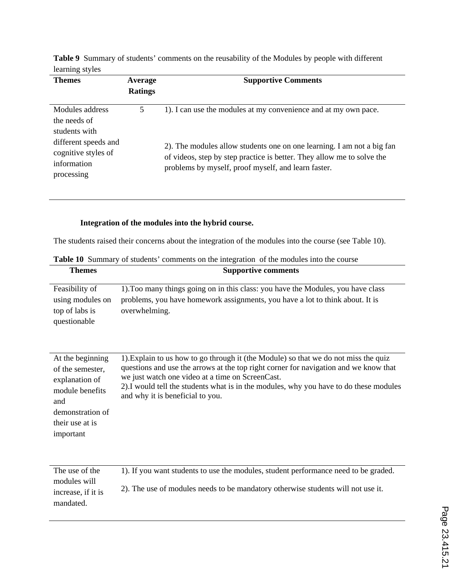| <b>Themes</b>                                                                                                                | Average<br><b>Ratings</b> | <b>Supportive Comments</b>                                                                                                                                                                                                                                                 |
|------------------------------------------------------------------------------------------------------------------------------|---------------------------|----------------------------------------------------------------------------------------------------------------------------------------------------------------------------------------------------------------------------------------------------------------------------|
| Modules address<br>the needs of<br>students with<br>different speeds and<br>cognitive styles of<br>information<br>processing | 5                         | 1). I can use the modules at my convenience and at my own pace.<br>2). The modules allow students one on one learning. I am not a big fan<br>of videos, step by step practice is better. They allow me to solve the<br>problems by myself, proof myself, and learn faster. |

**Table 9** Summary of students' comments on the reusability of the Modules by people with different learning styles

# **Integration of the modules into the hybrid course.**

The students raised their concerns about the integration of the modules into the course (see Table 10).

| <b>Themes</b>                                                                                                                        | <b>Supportive comments</b>                                                                                                                                                                                                                                                                                                                                    |
|--------------------------------------------------------------------------------------------------------------------------------------|---------------------------------------------------------------------------------------------------------------------------------------------------------------------------------------------------------------------------------------------------------------------------------------------------------------------------------------------------------------|
| Feasibility of<br>using modules on<br>top of labs is<br>questionable                                                                 | 1). Too many things going on in this class: you have the Modules, you have class<br>problems, you have homework assignments, you have a lot to think about. It is<br>overwhelming.                                                                                                                                                                            |
| At the beginning<br>of the semester,<br>explanation of<br>module benefits<br>and<br>demonstration of<br>their use at is<br>important | 1). Explain to us how to go through it (the Module) so that we do not miss the quiz<br>questions and use the arrows at the top right corner for navigation and we know that<br>we just watch one video at a time on ScreenCast.<br>2). I would tell the students what is in the modules, why you have to do these modules<br>and why it is beneficial to you. |
| The use of the<br>modules will<br>increase, if it is<br>mandated.                                                                    | 1). If you want students to use the modules, student performance need to be graded.<br>2). The use of modules needs to be mandatory otherwise students will not use it.                                                                                                                                                                                       |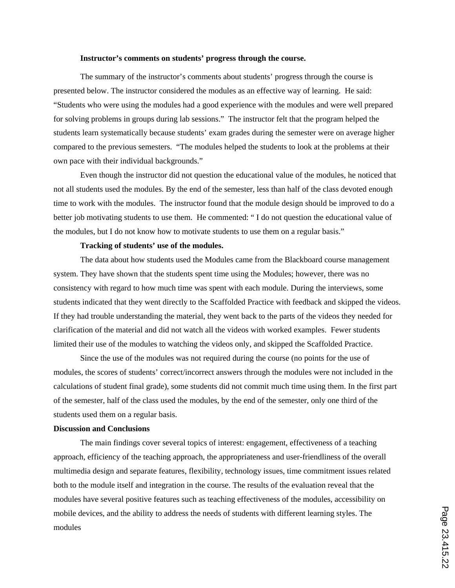#### **Instructor's comments on students' progress through the course.**

The summary of the instructor's comments about students' progress through the course is presented below. The instructor considered the modules as an effective way of learning. He said: "Students who were using the modules had a good experience with the modules and were well prepared for solving problems in groups during lab sessions." The instructor felt that the program helped the students learn systematically because students' exam grades during the semester were on average higher compared to the previous semesters. "The modules helped the students to look at the problems at their own pace with their individual backgrounds."

Even though the instructor did not question the educational value of the modules, he noticed that not all students used the modules. By the end of the semester, less than half of the class devoted enough time to work with the modules. The instructor found that the module design should be improved to do a better job motivating students to use them. He commented: " I do not question the educational value of the modules, but I do not know how to motivate students to use them on a regular basis."

#### **Tracking of students' use of the modules.**

The data about how students used the Modules came from the Blackboard course management system. They have shown that the students spent time using the Modules; however, there was no consistency with regard to how much time was spent with each module. During the interviews, some students indicated that they went directly to the Scaffolded Practice with feedback and skipped the videos. If they had trouble understanding the material, they went back to the parts of the videos they needed for clarification of the material and did not watch all the videos with worked examples. Fewer students limited their use of the modules to watching the videos only, and skipped the Scaffolded Practice.

Since the use of the modules was not required during the course (no points for the use of modules, the scores of students' correct/incorrect answers through the modules were not included in the calculations of student final grade), some students did not commit much time using them. In the first part of the semester, half of the class used the modules, by the end of the semester, only one third of the students used them on a regular basis.

# **Discussion and Conclusions**

The main findings cover several topics of interest: engagement, effectiveness of a teaching approach, efficiency of the teaching approach, the appropriateness and user-friendliness of the overall multimedia design and separate features, flexibility, technology issues, time commitment issues related both to the module itself and integration in the course. The results of the evaluation reveal that the modules have several positive features such as teaching effectiveness of the modules, accessibility on mobile devices, and the ability to address the needs of students with different learning styles. The modules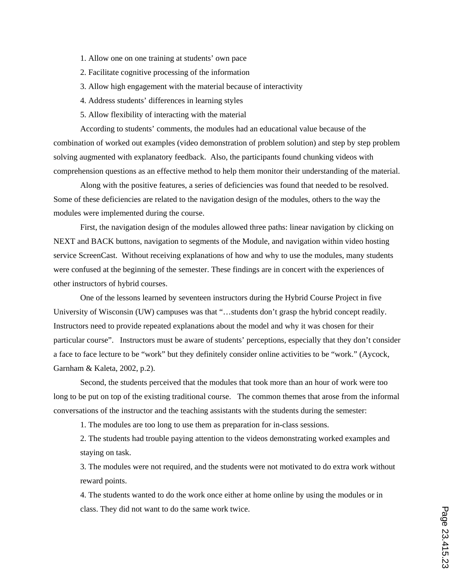- 1. Allow one on one training at students' own pace
- 2. Facilitate cognitive processing of the information
- 3. Allow high engagement with the material because of interactivity
- 4. Address students' differences in learning styles
- 5. Allow flexibility of interacting with the material

According to students' comments, the modules had an educational value because of the combination of worked out examples (video demonstration of problem solution) and step by step problem solving augmented with explanatory feedback. Also, the participants found chunking videos with comprehension questions as an effective method to help them monitor their understanding of the material.

Along with the positive features, a series of deficiencies was found that needed to be resolved. Some of these deficiencies are related to the navigation design of the modules, others to the way the modules were implemented during the course.

First, the navigation design of the modules allowed three paths: linear navigation by clicking on NEXT and BACK buttons, navigation to segments of the Module, and navigation within video hosting service ScreenCast. Without receiving explanations of how and why to use the modules, many students were confused at the beginning of the semester. These findings are in concert with the experiences of other instructors of hybrid courses.

One of the lessons learned by seventeen instructors during the Hybrid Course Project in five University of Wisconsin (UW) campuses was that "…students don't grasp the hybrid concept readily. Instructors need to provide repeated explanations about the model and why it was chosen for their particular course". Instructors must be aware of students' perceptions, especially that they don't consider a face to face lecture to be "work" but they definitely consider online activities to be "work." (Aycock, Garnham & Kaleta, 2002, p.2).

Second, the students perceived that the modules that took more than an hour of work were too long to be put on top of the existing traditional course. The common themes that arose from the informal conversations of the instructor and the teaching assistants with the students during the semester:

1. The modules are too long to use them as preparation for in-class sessions.

2. The students had trouble paying attention to the videos demonstrating worked examples and staying on task.

3. The modules were not required, and the students were not motivated to do extra work without reward points.

4. The students wanted to do the work once either at home online by using the modules or in class. They did not want to do the same work twice.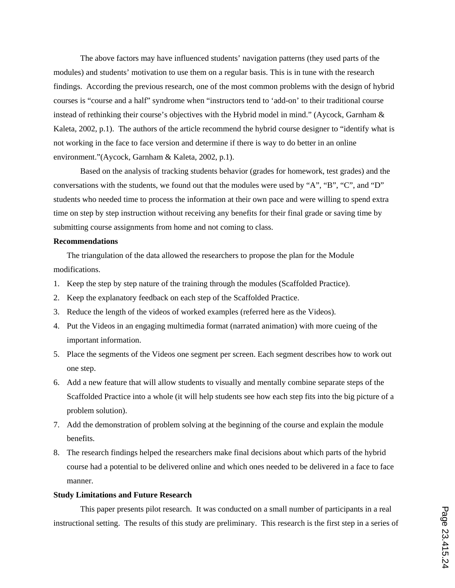The above factors may have influenced students' navigation patterns (they used parts of the modules) and students' motivation to use them on a regular basis. This is in tune with the research findings. According the previous research, one of the most common problems with the design of hybrid courses is "course and a half" syndrome when "instructors tend to 'add-on' to their traditional course instead of rethinking their course's objectives with the Hybrid model in mind." (Aycock, Garnham & Kaleta, 2002, p.1). The authors of the article recommend the hybrid course designer to "identify what is not working in the face to face version and determine if there is way to do better in an online environment."(Aycock, Garnham & Kaleta, 2002, p.1).

Based on the analysis of tracking students behavior (grades for homework, test grades) and the conversations with the students, we found out that the modules were used by "A", "B", "C", and "D" students who needed time to process the information at their own pace and were willing to spend extra time on step by step instruction without receiving any benefits for their final grade or saving time by submitting course assignments from home and not coming to class.

# **Recommendations**

The triangulation of the data allowed the researchers to propose the plan for the Module modifications.

- 1. Keep the step by step nature of the training through the modules (Scaffolded Practice).
- 2. Keep the explanatory feedback on each step of the Scaffolded Practice.
- 3. Reduce the length of the videos of worked examples (referred here as the Videos).
- 4. Put the Videos in an engaging multimedia format (narrated animation) with more cueing of the important information.
- 5. Place the segments of the Videos one segment per screen. Each segment describes how to work out one step.
- 6. Add a new feature that will allow students to visually and mentally combine separate steps of the Scaffolded Practice into a whole (it will help students see how each step fits into the big picture of a problem solution).
- 7. Add the demonstration of problem solving at the beginning of the course and explain the module benefits.
- 8. The research findings helped the researchers make final decisions about which parts of the hybrid course had a potential to be delivered online and which ones needed to be delivered in a face to face manner.

## **Study Limitations and Future Research**

This paper presents pilot research. It was conducted on a small number of participants in a real instructional setting. The results of this study are preliminary. This research is the first step in a series of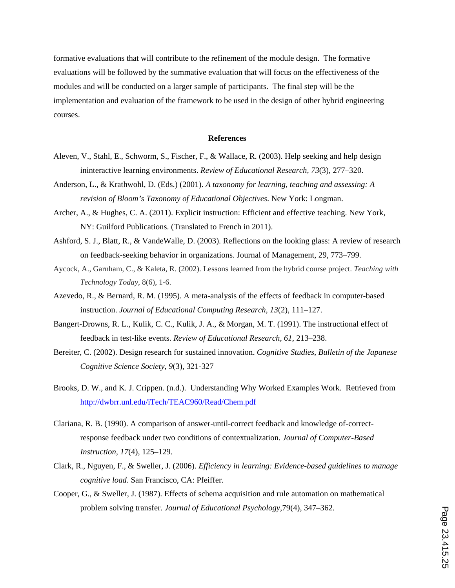formative evaluations that will contribute to the refinement of the module design. The formative evaluations will be followed by the summative evaluation that will focus on the effectiveness of the modules and will be conducted on a larger sample of participants. The final step will be the implementation and evaluation of the framework to be used in the design of other hybrid engineering courses.

#### **References**

- Aleven, V., Stahl, E., Schworm, S., Fischer, F., & Wallace, R. (2003). Help seeking and help design ininteractive learning environments. *Review of Educational Research, 73*(3), 277–320.
- Anderson, L., & Krathwohl, D. (Eds.) (2001). *A taxonomy for learning, teaching and assessing: A revision of Bloom's Taxonomy of Educational Objectives*. New York: Longman.
- Archer, A., & Hughes, C. A. (2011). Explicit instruction: Efficient and effective teaching. New York, NY: Guilford Publications. (Translated to French in 2011).
- Ashford, S. J., Blatt, R., & VandeWalle, D. (2003). Reflections on the looking glass: A review of research on feedback-seeking behavior in organizations. Journal of Management, 29, 773–799.
- Aycock, A., Garnham, C., & Kaleta, R. (2002). Lessons learned from the hybrid course project. *Teaching with Technology Today*, 8(6), 1-6.
- Azevedo, R., & Bernard, R. M. (1995). A meta-analysis of the effects of feedback in computer-based instruction. *Journal of Educational Computing Research, 13*(2), 111–127.
- Bangert-Drowns, R. L., Kulik, C. C., Kulik, J. A., & Morgan, M. T. (1991). The instructional effect of feedback in test-like events. *Review of Educational Research, 61*, 213–238.
- Bereiter, C. (2002). Design research for sustained innovation. *Cognitive Studies, Bulletin of the Japanese Cognitive Science Society, 9*(3), 321-327
- Brooks, D. W., and K. J. Crippen. (n.d.). Understanding Why Worked Examples Work. Retrieved from http://dwbrr.unl.edu/iTech/TEAC960/Read/Chem.pdf
- Clariana, R. B. (1990). A comparison of answer-until-correct feedback and knowledge of-correctresponse feedback under two conditions of contextualization. *Journal of Computer-Based Instruction, 17*(4), 125–129.
- Clark, R., Nguyen, F., & Sweller, J. (2006). *Efficiency in learning: Evidence-based guidelines to manage cognitive load*. San Francisco, CA: Pfeiffer.
- Cooper, G., & Sweller, J. (1987). Effects of schema acquisition and rule automation on mathematical problem solving transfer. *Journal of Educational Psychology,*79(4), 347–362.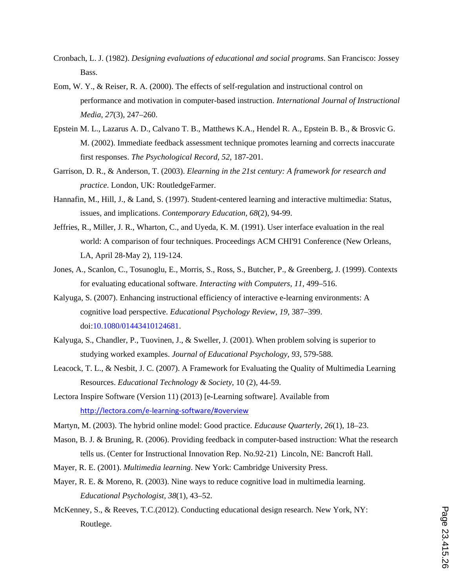- Cronbach, L. J. (1982). *Designing evaluations of educational and social programs*. San Francisco: Jossey Bass.
- Eom, W. Y., & Reiser, R. A. (2000). The effects of self-regulation and instructional control on performance and motivation in computer-based instruction. *International Journal of Instructional Media*, *27*(3), 247–260.
- Epstein M. L., Lazarus A. D., Calvano T. B., Matthews K.A., Hendel R. A., Epstein B. B., & Brosvic G. M. (2002). Immediate feedback assessment technique promotes learning and corrects inaccurate first responses. *The Psychological Record, 52*, 187-201.
- Garrison, D. R., & Anderson, T. (2003). *Elearning in the 21st century: A framework for research and practice*. London, UK: RoutledgeFarmer.
- Hannafin, M., Hill, J., & Land, S. (1997). Student-centered learning and interactive multimedia: Status, issues, and implications. *Contemporary Education, 68*(2), 94-99.
- Jeffries, R., Miller, J. R., Wharton, C., and Uyeda, K. M. (1991). User interface evaluation in the real world: A comparison of four techniques. Proceedings ACM CHI'91 Conference (New Orleans, LA, April 28-May 2), 119-124.
- Jones, A., Scanlon, C., Tosunoglu, E., Morris, S., Ross, S., Butcher, P., & Greenberg, J. (1999). Contexts for evaluating educational software. *Interacting with Computers, 11*, 499–516.
- Kalyuga, S. (2007). Enhancing instructional efficiency of interactive e-learning environments: A cognitive load perspective. *Educational Psychology Review, 19*, 387–399. doi:10.1080/01443410124681.
- Kalyuga, S., Chandler, P., Tuovinen, J., & Sweller, J. (2001). When problem solving is superior to studying worked examples. *Journal of Educational Psychology, 93*, 579-588.
- Leacock, T. L., & Nesbit, J. C. (2007). A Framework for Evaluating the Quality of Multimedia Learning Resources. *Educational Technology & Society*, 10 (2), 44-59.
- Lectora Inspire Software (Version 11) (2013) [e-Learning software]. Available from http://lectora.com/e‐learning‐software/#overview
- Martyn, M. (2003). The hybrid online model: Good practice. *Educause Quarterly, 26*(1), 18–23.
- Mason, B. J. & Bruning, R. (2006). Providing feedback in computer-based instruction: What the research tells us. (Center for Instructional Innovation Rep. No.92-21) Lincoln, NE: Bancroft Hall.
- Mayer, R. E. (2001). *Multimedia learning*. New York: Cambridge University Press.
- Mayer, R. E. & Moreno, R. (2003). Nine ways to reduce cognitive load in multimedia learning. *Educational Psychologist, 38*(1), 43–52.
- McKenney, S., & Reeves, T.C.(2012). Conducting educational design research. New York, NY: Routlege.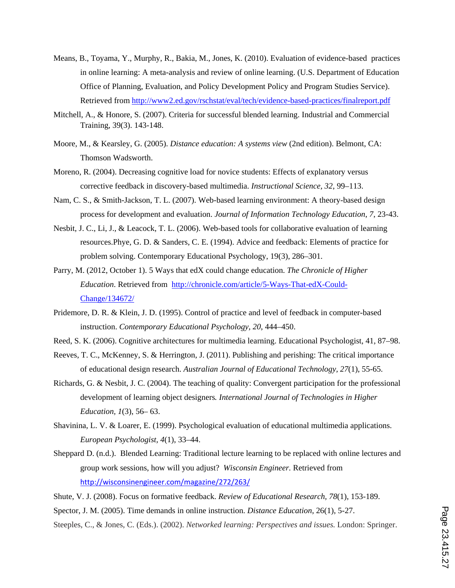- Means, B., Toyama, Y., Murphy, R., Bakia, M., Jones, K. (2010). Evaluation of evidence-based practices in online learning: A meta-analysis and review of online learning. (U.S. Department of Education Office of Planning, Evaluation, and Policy Development Policy and Program Studies Service). Retrieved from http://www2.ed.gov/rschstat/eval/tech/evidence-based-practices/finalreport.pdf
- Mitchell, A., & Honore, S. (2007). Criteria for successful blended learning. Industrial and Commercial Training, 39(3). 143-148.
- Moore, M., & Kearsley, G. (2005). *Distance education: A systems view* (2nd edition). Belmont, CA: Thomson Wadsworth.
- Moreno, R. (2004). Decreasing cognitive load for novice students: Effects of explanatory versus corrective feedback in discovery-based multimedia. *Instructional Science, 32*, 99–113.
- Nam, C. S., & Smith-Jackson, T. L. (2007). Web-based learning environment: A theory-based design process for development and evaluation. *Journal of Information Technology Education*, *7*, 23-43.
- Nesbit, J. C., Li, J., & Leacock, T. L. (2006). Web-based tools for collaborative evaluation of learning resources.Phye, G. D. & Sanders, C. E. (1994). Advice and feedback: Elements of practice for problem solving. Contemporary Educational Psychology, 19(3), 286–301.
- Parry, M. (2012, October 1). 5 Ways that edX could change education. *The Chronicle of Higher Education*. Retrieved from http://chronicle.com/article/5-Ways-That-edX-Could-Change/134672/
- Pridemore, D. R. & Klein, J. D. (1995). Control of practice and level of feedback in computer-based instruction. *Contemporary Educational Psychology, 20*, 444–450.
- Reed, S. K. (2006). Cognitive architectures for multimedia learning. Educational Psychologist, 41, 87–98.
- Reeves, T. C., McKenney, S. & Herrington, J. (2011). Publishing and perishing: The critical importance of educational design research. *Australian Journal of Educational Technology, 27*(1), 55-65.
- Richards, G. & Nesbit, J. C. (2004). The teaching of quality: Convergent participation for the professional development of learning object designers*. International Journal of Technologies in Higher Education, 1*(3), 56– 63.
- Shavinina, L. V. & Loarer, E. (1999). Psychological evaluation of educational multimedia applications. *European Psychologist, 4*(1), 33–44.
- Sheppard D. (n.d.). Blended Learning: Traditional lecture learning to be replaced with online lectures and group work sessions, how will you adjust? *Wisconsin Engineer.* Retrieved from http://wisconsinengineer.com/magazine/272/263/

Shute, V. J. (2008). Focus on formative feedback. *Review of Educational Research, 78*(1), 153-189.

- Spector, J. M. (2005). Time demands in online instruction. *Distance Education*, 26(1), 5-27.
- Steeples, C., & Jones, C. (Eds.). (2002). *Networked learning: Perspectives and issues.* London: Springer.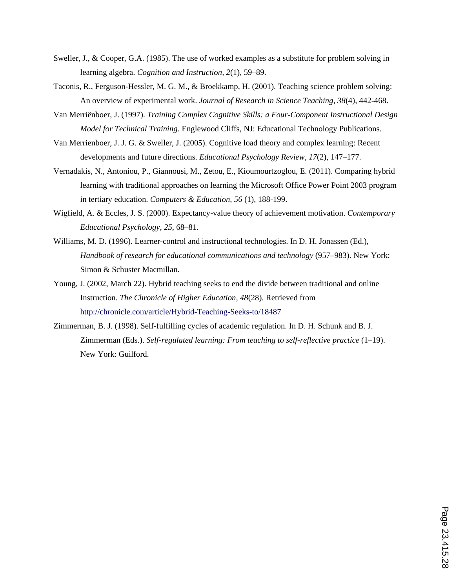- Sweller, J., & Cooper, G.A. (1985). The use of worked examples as a substitute for problem solving in learning algebra. *Cognition and Instruction, 2*(1), 59–89.
- Taconis, R., Ferguson-Hessler, M. G. M., & Broekkamp, H. (2001). Teaching science problem solving: An overview of experimental work. *Journal of Research in Science Teaching, 38*(4), 442-468.
- Van Merriënboer, J. (1997). *Training Complex Cognitive Skills: a Four-Component Instructional Design Model for Technical Training.* Englewood Cliffs, NJ: Educational Technology Publications.
- Van Merrienboer, J. J. G. & Sweller, J. (2005). Cognitive load theory and complex learning: Recent developments and future directions. *Educational Psychology Review, 17*(2), 147–177.
- Vernadakis, N., Antoniou, P., Giannousi, M., Zetou, E., Kioumourtzoglou, E. (2011). Comparing hybrid learning with traditional approaches on learning the Microsoft Office Power Point 2003 program in tertiary education. *Computers & Education, 56* (1), 188-199.
- Wigfield, A. & Eccles, J. S. (2000). Expectancy-value theory of achievement motivation. *Contemporary Educational Psychology, 25*, 68–81.
- Williams, M. D. (1996). Learner-control and instructional technologies. In D. H. Jonassen (Ed.), *Handbook of research for educational communications and technology* (957–983). New York: Simon & Schuster Macmillan.
- Young, J. (2002, March 22). Hybrid teaching seeks to end the divide between traditional and online Instruction. *The Chronicle of Higher Education, 48*(28). Retrieved from http://chronicle.com/article/Hybrid-Teaching-Seeks-to/18487
- Zimmerman, B. J. (1998). Self-fulfilling cycles of academic regulation. In D. H. Schunk and B. J. Zimmerman (Eds.). *Self-regulated learning: From teaching to self-reflective practice* (1–19). New York: Guilford.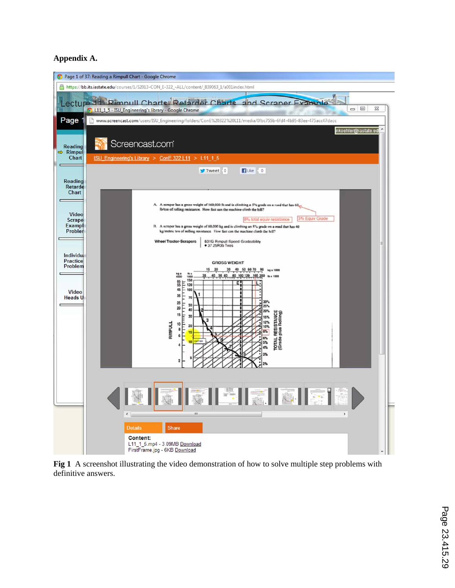# **Appendix A.**



**Fig 1** A screenshot illustrating the video demonstration of how to solve multiple step problems with definitive answers.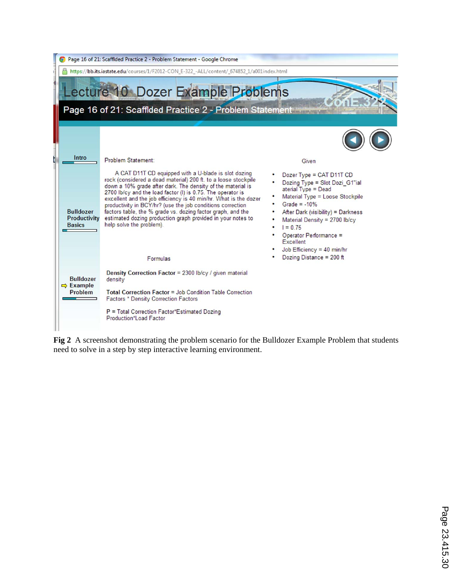|   | Page 16 of 21: Scafflded Practice 2 - Problem Statement - Google Chrome |                                                                                                                                                                                                                                                                                                                                                                                                                                                                                                                                                  |                                                                                                                                                                                                                                                                                                                                                                      |  |  |  |  |  |  |  |  |
|---|-------------------------------------------------------------------------|--------------------------------------------------------------------------------------------------------------------------------------------------------------------------------------------------------------------------------------------------------------------------------------------------------------------------------------------------------------------------------------------------------------------------------------------------------------------------------------------------------------------------------------------------|----------------------------------------------------------------------------------------------------------------------------------------------------------------------------------------------------------------------------------------------------------------------------------------------------------------------------------------------------------------------|--|--|--|--|--|--|--|--|
|   |                                                                         | https://bb.its.iastate.edu/courses/1/F2012-CON_E-322_-ALL/content/_674852_1/a001index.html                                                                                                                                                                                                                                                                                                                                                                                                                                                       |                                                                                                                                                                                                                                                                                                                                                                      |  |  |  |  |  |  |  |  |
|   | Lecture 10 Dozer Example Problems                                       |                                                                                                                                                                                                                                                                                                                                                                                                                                                                                                                                                  |                                                                                                                                                                                                                                                                                                                                                                      |  |  |  |  |  |  |  |  |
|   |                                                                         | Page 16 of 21: Scafflded Practice 2 - Problem Statement                                                                                                                                                                                                                                                                                                                                                                                                                                                                                          |                                                                                                                                                                                                                                                                                                                                                                      |  |  |  |  |  |  |  |  |
|   |                                                                         |                                                                                                                                                                                                                                                                                                                                                                                                                                                                                                                                                  |                                                                                                                                                                                                                                                                                                                                                                      |  |  |  |  |  |  |  |  |
| п | Intro                                                                   | Problem Statement:                                                                                                                                                                                                                                                                                                                                                                                                                                                                                                                               | Given                                                                                                                                                                                                                                                                                                                                                                |  |  |  |  |  |  |  |  |
|   | <b>Bulldozer</b><br><b>Productivity</b><br><b>Basics</b>                | A CAT D11T CD equipped with a U-blade is slot dozing<br>rock (considered a dead material) 200 ft. to a loose stockpile<br>down a 10% grade after dark. The density of the material is<br>2700 lb/cy and the load factor (I) is 0.75. The operator is<br>excellent and the job efficiency is 40 min/hr. What is the dozer<br>productivity in BCY/hr? (use the job conditions correction<br>factors table, the % grade vs. dozing factor graph, and the<br>estimated dozing production graph provided in your notes to<br>help solve the problem). | Dozer Type = CAT D11T CD<br>Dozing Type = Slot Dozi_G1"ial<br>aterial Type = Dead<br>$\bullet$<br>Material Type = Loose Stockpile<br>Grade = $-10\%$<br>$\bullet$<br>After Dark (visibility) = Darkness<br>$\bullet$<br>Material Density = 2700 lb/cy<br>$\bullet$<br>$1 = 0.75$<br>$\bullet$<br>Operator Performance =<br>Excellent<br>Job Efficiency = $40$ min/hr |  |  |  |  |  |  |  |  |
|   |                                                                         | Formulas                                                                                                                                                                                                                                                                                                                                                                                                                                                                                                                                         | Dozing Distance = 200 ft                                                                                                                                                                                                                                                                                                                                             |  |  |  |  |  |  |  |  |
|   | <b>Bulldozer</b><br>$\Rightarrow$ Example<br>Problem                    | Density Correction Factor = 2300 lb/cy / given material<br>density<br>Total Correction Factor = Job Condition Table Correction<br><b>Factors * Density Correction Factors</b><br>P = Total Correction Factor*Estimated Dozing<br>Production*Load Factor                                                                                                                                                                                                                                                                                          |                                                                                                                                                                                                                                                                                                                                                                      |  |  |  |  |  |  |  |  |

**Fig 2** A screenshot demonstrating the problem scenario for the Bulldozer Example Problem that students need to solve in a step by step interactive learning environment.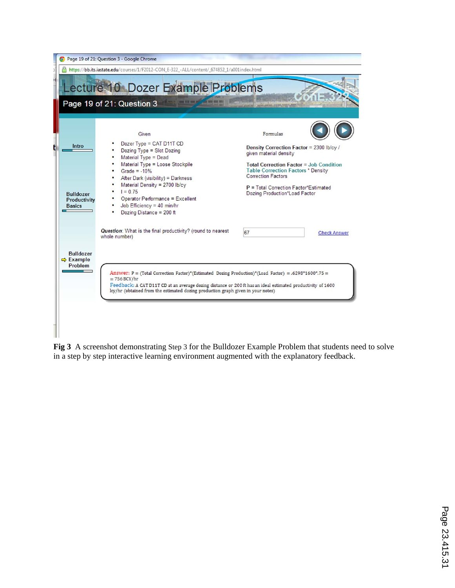

**Fig 3** A screenshot demonstrating Step 3 for the Bulldozer Example Problem that students need to solve in a step by step interactive learning environment augmented with the explanatory feedback.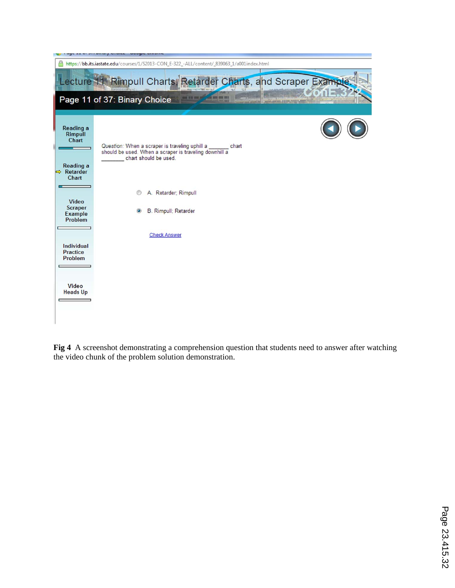

**Fig 4** A screenshot demonstrating a comprehension question that students need to answer after watching the video chunk of the problem solution demonstration.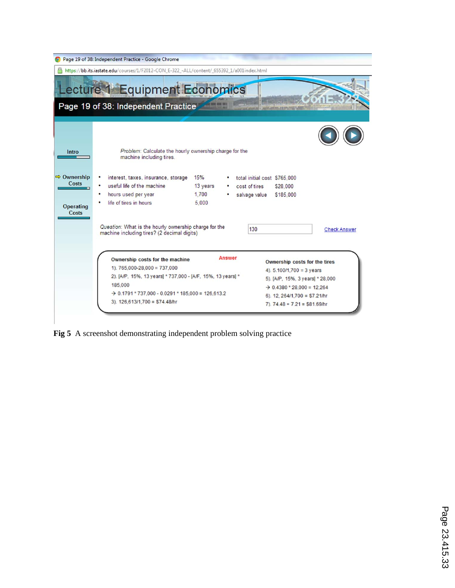|                                                                                            | Page 19 of 38: Independent Practice - Google Chrome                                                                                                                                                                                                                                                                                                                                                                                                                                   |  |  |  |  |  |  |  |  |
|--------------------------------------------------------------------------------------------|---------------------------------------------------------------------------------------------------------------------------------------------------------------------------------------------------------------------------------------------------------------------------------------------------------------------------------------------------------------------------------------------------------------------------------------------------------------------------------------|--|--|--|--|--|--|--|--|
| https://bb.its.iastate.edu/courses/1/F2012-CON_E-322_-ALL/content/ 655392_1/a001index.html |                                                                                                                                                                                                                                                                                                                                                                                                                                                                                       |  |  |  |  |  |  |  |  |
|                                                                                            | Lecture 1 Equipment Economics                                                                                                                                                                                                                                                                                                                                                                                                                                                         |  |  |  |  |  |  |  |  |
| Page 19 of 38: Independent Practice                                                        |                                                                                                                                                                                                                                                                                                                                                                                                                                                                                       |  |  |  |  |  |  |  |  |
| Intro                                                                                      | Problem: Calculate the hourly ownership charge for the<br>machine including tires.                                                                                                                                                                                                                                                                                                                                                                                                    |  |  |  |  |  |  |  |  |
| $\Rightarrow$ Ownership<br>Costs<br><b>Operating</b><br>Costs                              | interest, taxes, insurance, storage<br>15%<br>total initial cost \$765,000<br>useful life of the machine<br>13 years<br>cost of tires<br>\$28,000<br>1.700<br>hours used per year<br>salvage value<br>\$185,000<br>life of tires in hours<br>5.000                                                                                                                                                                                                                                    |  |  |  |  |  |  |  |  |
|                                                                                            | Question: What is the hourly ownership charge for the<br>130<br><b>Check Answer</b><br>machine including tires? (2 decimal digits)                                                                                                                                                                                                                                                                                                                                                    |  |  |  |  |  |  |  |  |
|                                                                                            | <b>Answer</b><br>Ownership costs for the machine<br>Ownership costs for the tires<br>1). $765,000 - 28,000 = 737,000$<br>4). $5.100/1,700 = 3$ years<br>2). [A/P, 15%, 13 years] * 737,000 - [A/F, 15%, 13 years] *<br>5). [A/P, 15%, 3 years] * 28,000<br>185,000<br>$\rightarrow$ 0.4380 * 28,000 = 12,264<br>$\rightarrow$ 0.1791 * 737,000 - 0.0291 * 185,000 = 126,613.2<br>6). 12, 264/1,700 = \$7.21/hr<br>3). $126,613/1,700 = $74.48/hr$<br>$7)$ , 74.48 + 7.21 = \$81.69/hr |  |  |  |  |  |  |  |  |

**Fig 5** A screenshot demonstrating independent problem solving practice